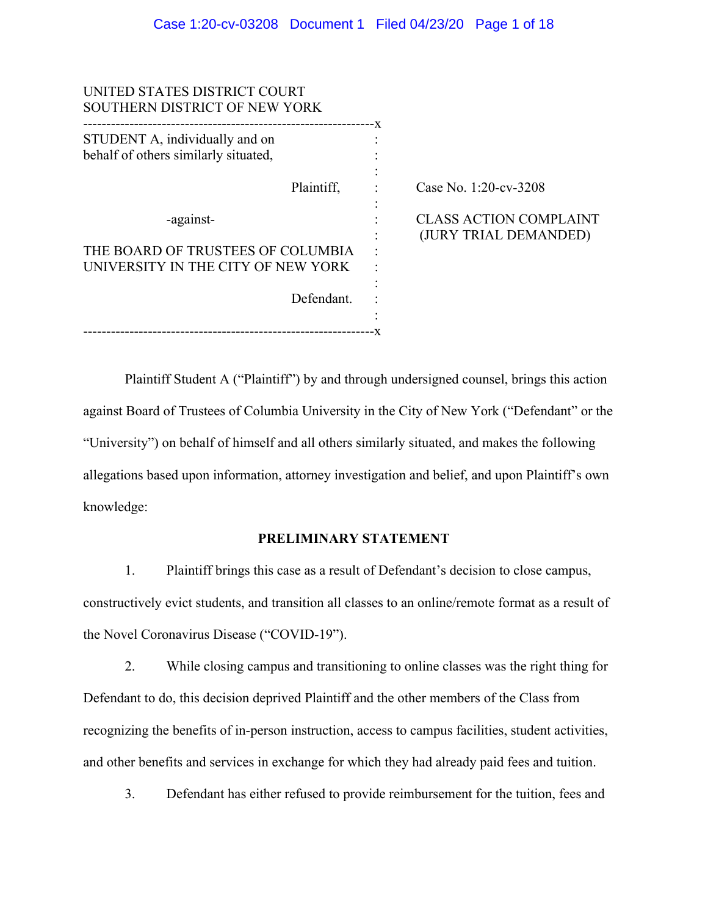| UNITED STATES DISTRICT COURT<br>SOUTHERN DISTRICT OF NEW YORK                             |      |                                                        |
|-------------------------------------------------------------------------------------------|------|--------------------------------------------------------|
| ---------------<br>STUDENT A, individually and on<br>behalf of others similarly situated, | $-x$ |                                                        |
| Plaintiff,                                                                                |      | Case No. 1:20-cv-3208                                  |
| -against-                                                                                 |      | <b>CLASS ACTION COMPLAINT</b><br>(JURY TRIAL DEMANDED) |
| THE BOARD OF TRUSTEES OF COLUMBIA                                                         |      |                                                        |
| UNIVERSITY IN THE CITY OF NEW YORK                                                        |      |                                                        |
| Defendant.                                                                                |      |                                                        |
|                                                                                           |      |                                                        |
|                                                                                           |      |                                                        |

Plaintiff Student A ("Plaintiff") by and through undersigned counsel, brings this action against Board of Trustees of Columbia University in the City of New York ("Defendant" or the "University") on behalf of himself and all others similarly situated, and makes the following allegations based upon information, attorney investigation and belief, and upon Plaintiff's own knowledge:

### **PRELIMINARY STATEMENT**

1. Plaintiff brings this case as a result of Defendant's decision to close campus, constructively evict students, and transition all classes to an online/remote format as a result of the Novel Coronavirus Disease ("COVID-19").

2. While closing campus and transitioning to online classes was the right thing for Defendant to do, this decision deprived Plaintiff and the other members of the Class from recognizing the benefits of in-person instruction, access to campus facilities, student activities, and other benefits and services in exchange for which they had already paid fees and tuition.

3. Defendant has either refused to provide reimbursement for the tuition, fees and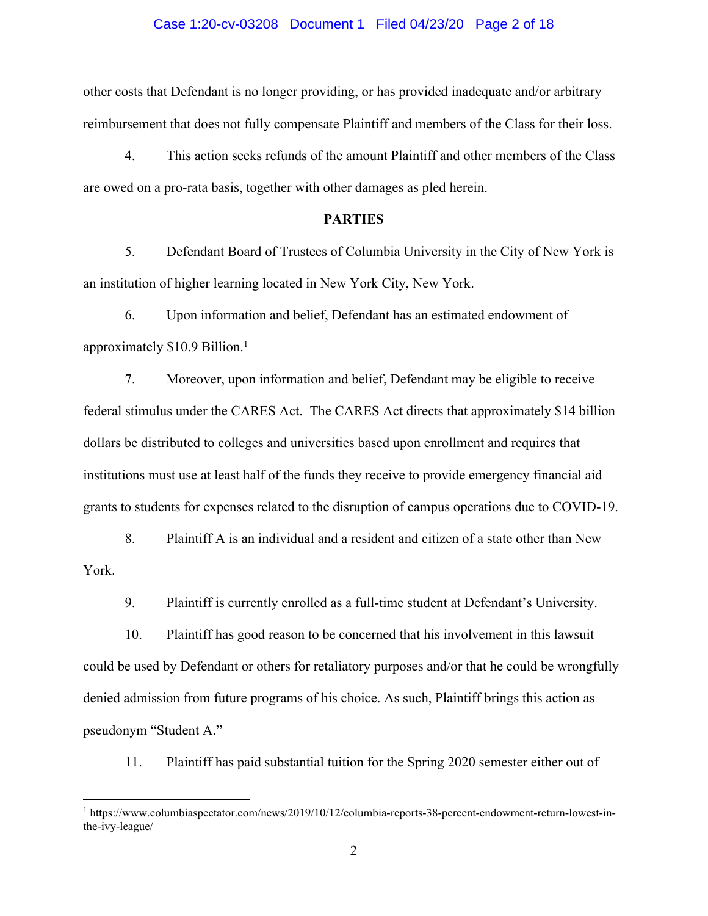### Case 1:20-cv-03208 Document 1 Filed 04/23/20 Page 2 of 18

other costs that Defendant is no longer providing, or has provided inadequate and/or arbitrary reimbursement that does not fully compensate Plaintiff and members of the Class for their loss.

4. This action seeks refunds of the amount Plaintiff and other members of the Class are owed on a pro-rata basis, together with other damages as pled herein.

## **PARTIES**

5. Defendant Board of Trustees of Columbia University in the City of New York is an institution of higher learning located in New York City, New York.

6. Upon information and belief, Defendant has an estimated endowment of approximately \$10.9 Billion. 1

7. Moreover, upon information and belief, Defendant may be eligible to receive federal stimulus under the CARES Act. The CARES Act directs that approximately \$14 billion dollars be distributed to colleges and universities based upon enrollment and requires that institutions must use at least half of the funds they receive to provide emergency financial aid grants to students for expenses related to the disruption of campus operations due to COVID-19.

8. Plaintiff A is an individual and a resident and citizen of a state other than New York.

9. Plaintiff is currently enrolled as a full-time student at Defendant's University.

10. Plaintiff has good reason to be concerned that his involvement in this lawsuit could be used by Defendant or others for retaliatory purposes and/or that he could be wrongfully denied admission from future programs of his choice. As such, Plaintiff brings this action as pseudonym "Student A."

11. Plaintiff has paid substantial tuition for the Spring 2020 semester either out of

<sup>1</sup> https://www.columbiaspectator.com/news/2019/10/12/columbia-reports-38-percent-endowment-return-lowest-inthe-ivy-league/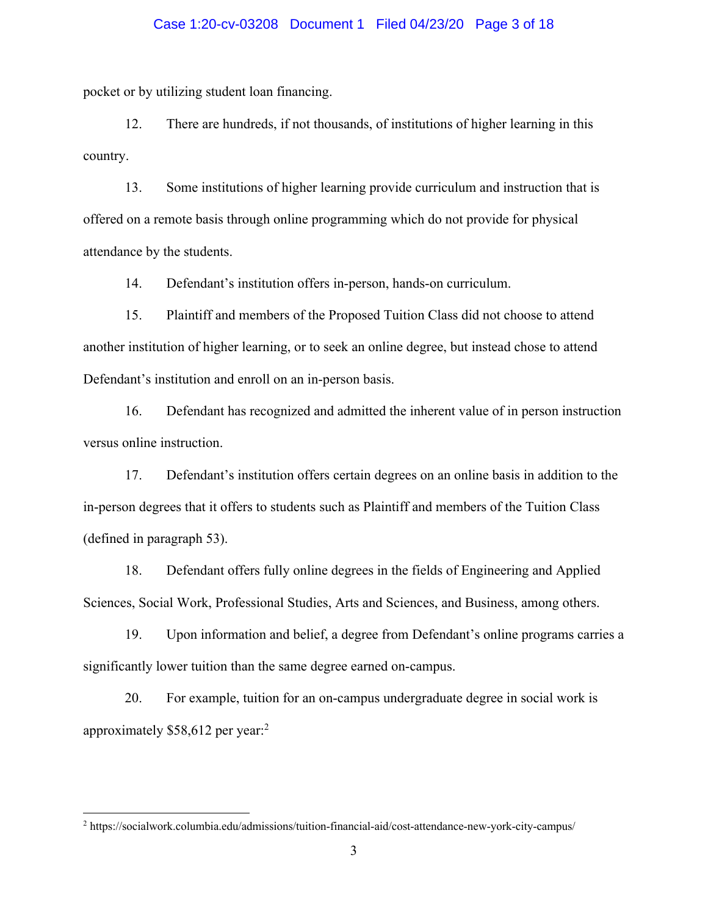### Case 1:20-cv-03208 Document 1 Filed 04/23/20 Page 3 of 18

pocket or by utilizing student loan financing.

12. There are hundreds, if not thousands, of institutions of higher learning in this country.

13. Some institutions of higher learning provide curriculum and instruction that is offered on a remote basis through online programming which do not provide for physical attendance by the students.

14. Defendant's institution offers in-person, hands-on curriculum.

15. Plaintiff and members of the Proposed Tuition Class did not choose to attend another institution of higher learning, or to seek an online degree, but instead chose to attend Defendant's institution and enroll on an in-person basis.

16. Defendant has recognized and admitted the inherent value of in person instruction versus online instruction.

17. Defendant's institution offers certain degrees on an online basis in addition to the in-person degrees that it offers to students such as Plaintiff and members of the Tuition Class (defined in paragraph 53).

18. Defendant offers fully online degrees in the fields of Engineering and Applied Sciences, Social Work, Professional Studies, Arts and Sciences, and Business, among others.

19. Upon information and belief, a degree from Defendant's online programs carries a significantly lower tuition than the same degree earned on-campus.

20. For example, tuition for an on-campus undergraduate degree in social work is approximately \$58,612 per year:2

<sup>2</sup> https://socialwork.columbia.edu/admissions/tuition-financial-aid/cost-attendance-new-york-city-campus/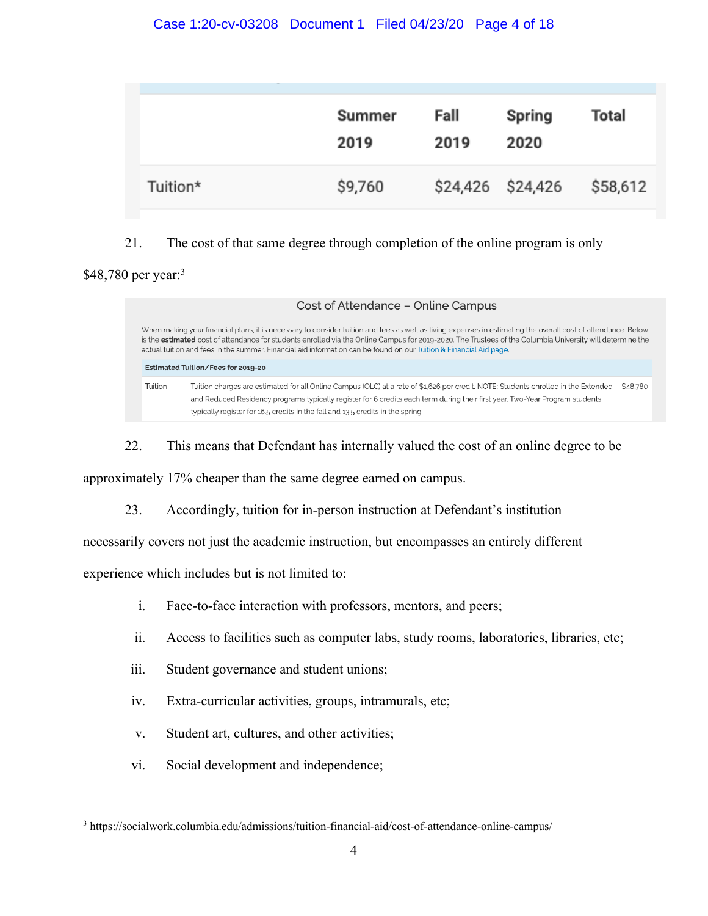|          | Summer<br>2019 | Fall<br>2019 | Spring<br>2020    | Total    |
|----------|----------------|--------------|-------------------|----------|
| Tuition* | \$9,760        |              | \$24,426 \$24,426 | \$58,612 |

# 21. The cost of that same degree through completion of the online program is only

# \$48,780 per year:<sup>3</sup>

| Cost of Attendance - Online Campus                                                                                                                                                                                                                                                                                                                                                                                                               |                                                                                                                                                                                                                                                                                                                                                       |          |  |  |
|--------------------------------------------------------------------------------------------------------------------------------------------------------------------------------------------------------------------------------------------------------------------------------------------------------------------------------------------------------------------------------------------------------------------------------------------------|-------------------------------------------------------------------------------------------------------------------------------------------------------------------------------------------------------------------------------------------------------------------------------------------------------------------------------------------------------|----------|--|--|
| When making your financial plans, it is necessary to consider tuition and fees as well as living expenses in estimating the overall cost of attendance. Below<br>is the estimated cost of attendance for students enrolled via the Online Campus for 2019-2020. The Trustees of the Columbia University will determine the<br>actual tuition and fees in the summer. Financial aid information can be found on our Tuition & Financial Aid page. |                                                                                                                                                                                                                                                                                                                                                       |          |  |  |
|                                                                                                                                                                                                                                                                                                                                                                                                                                                  | Estimated Tuition/Fees for 2019-20                                                                                                                                                                                                                                                                                                                    |          |  |  |
| Tuition                                                                                                                                                                                                                                                                                                                                                                                                                                          | Tuition charges are estimated for all Online Campus (OLC) at a rate of \$1,626 per credit. NOTE: Students enrolled in the Extended<br>and Reduced Residency programs typically register for 6 credits each term during their first year. Two-Year Program students<br>typically register for 16.5 credits in the fall and 13.5 credits in the spring. | \$48,780 |  |  |

22. This means that Defendant has internally valued the cost of an online degree to be

approximately 17% cheaper than the same degree earned on campus.

23. Accordingly, tuition for in-person instruction at Defendant's institution

necessarily covers not just the academic instruction, but encompasses an entirely different

experience which includes but is not limited to:

- i. Face-to-face interaction with professors, mentors, and peers;
- ii. Access to facilities such as computer labs, study rooms, laboratories, libraries, etc;
- iii. Student governance and student unions;
- iv. Extra-curricular activities, groups, intramurals, etc;
- v. Student art, cultures, and other activities;
- vi. Social development and independence;

<sup>3</sup> https://socialwork.columbia.edu/admissions/tuition-financial-aid/cost-of-attendance-online-campus/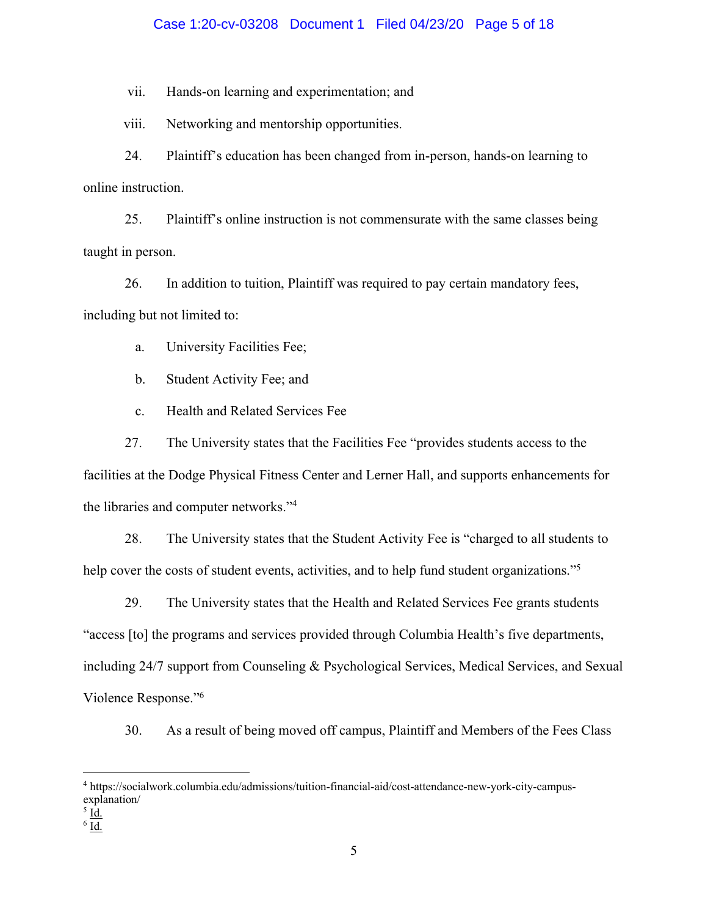### Case 1:20-cv-03208 Document 1 Filed 04/23/20 Page 5 of 18

vii. Hands-on learning and experimentation; and

viii. Networking and mentorship opportunities.

24. Plaintiff's education has been changed from in-person, hands-on learning to online instruction.

25. Plaintiff's online instruction is not commensurate with the same classes being taught in person.

26. In addition to tuition, Plaintiff was required to pay certain mandatory fees, including but not limited to:

a. University Facilities Fee;

b. Student Activity Fee; and

c. Health and Related Services Fee

27. The University states that the Facilities Fee "provides students access to the facilities at the Dodge Physical Fitness Center and Lerner Hall, and supports enhancements for the libraries and computer networks."4

28. The University states that the Student Activity Fee is "charged to all students to help cover the costs of student events, activities, and to help fund student organizations."<sup>5</sup>

29. The University states that the Health and Related Services Fee grants students

"access [to] the programs and services provided through Columbia Health's five departments,

including 24/7 support from Counseling & Psychological Services, Medical Services, and Sexual Violence Response."6

30. As a result of being moved off campus, Plaintiff and Members of the Fees Class

<sup>4</sup> https://socialwork.columbia.edu/admissions/tuition-financial-aid/cost-attendance-new-york-city-campusexplanation/

 $<sup>5</sup>$  <u>Id.</u></sup>

 $6$  Id.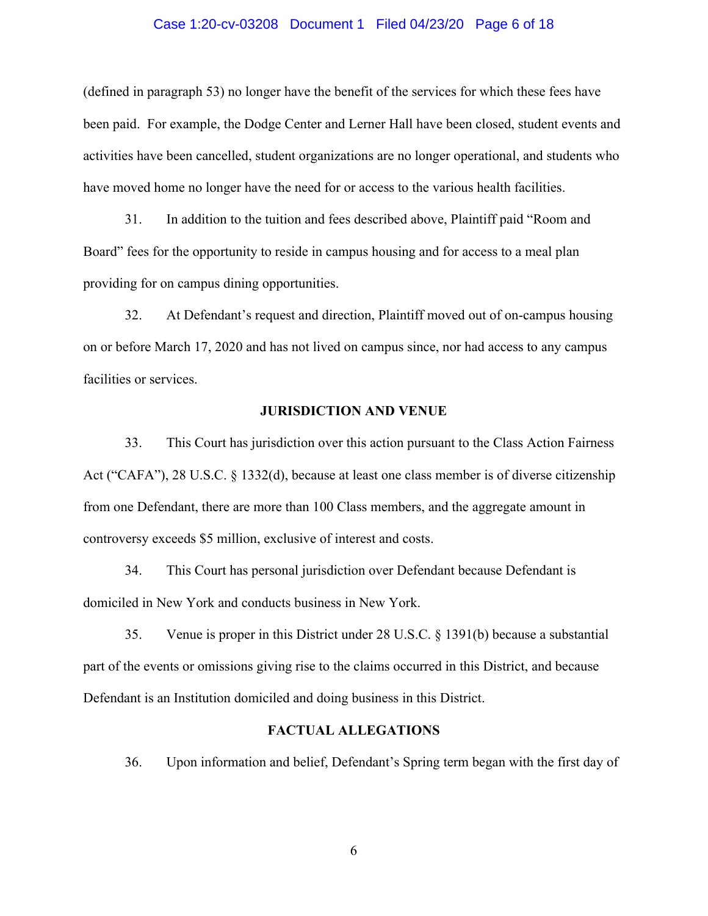### Case 1:20-cv-03208 Document 1 Filed 04/23/20 Page 6 of 18

(defined in paragraph 53) no longer have the benefit of the services for which these fees have been paid. For example, the Dodge Center and Lerner Hall have been closed, student events and activities have been cancelled, student organizations are no longer operational, and students who have moved home no longer have the need for or access to the various health facilities.

31. In addition to the tuition and fees described above, Plaintiff paid "Room and Board" fees for the opportunity to reside in campus housing and for access to a meal plan providing for on campus dining opportunities.

32. At Defendant's request and direction, Plaintiff moved out of on-campus housing on or before March 17, 2020 and has not lived on campus since, nor had access to any campus facilities or services.

### **JURISDICTION AND VENUE**

33. This Court has jurisdiction over this action pursuant to the Class Action Fairness Act ("CAFA"), 28 U.S.C. § 1332(d), because at least one class member is of diverse citizenship from one Defendant, there are more than 100 Class members, and the aggregate amount in controversy exceeds \$5 million, exclusive of interest and costs.

34. This Court has personal jurisdiction over Defendant because Defendant is domiciled in New York and conducts business in New York.

35. Venue is proper in this District under 28 U.S.C. § 1391(b) because a substantial part of the events or omissions giving rise to the claims occurred in this District, and because Defendant is an Institution domiciled and doing business in this District.

### **FACTUAL ALLEGATIONS**

36. Upon information and belief, Defendant's Spring term began with the first day of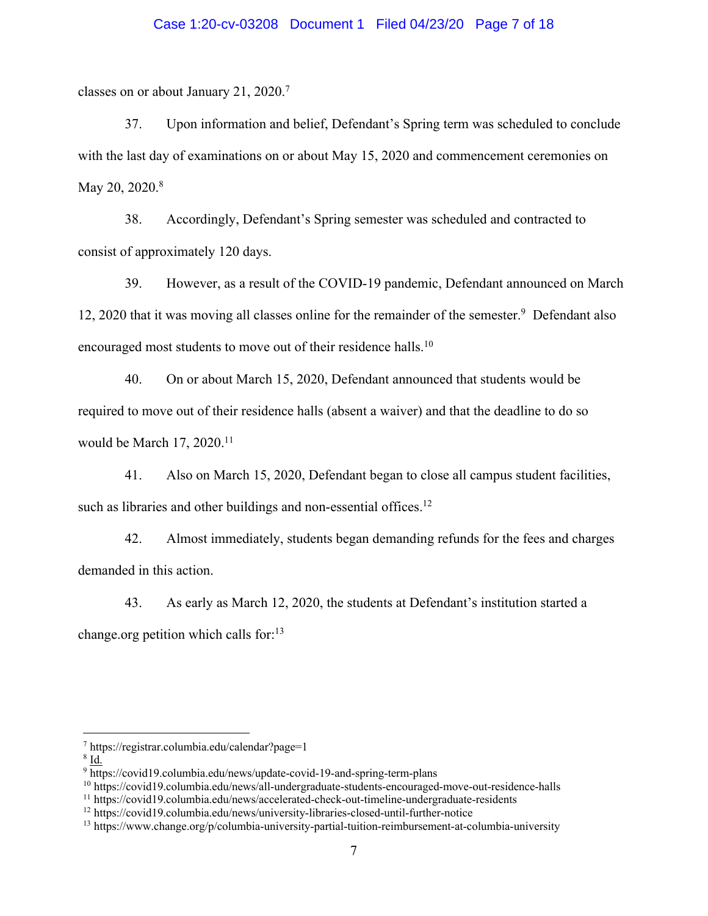### Case 1:20-cv-03208 Document 1 Filed 04/23/20 Page 7 of 18

classes on or about January 21, 2020.7

37. Upon information and belief, Defendant's Spring term was scheduled to conclude with the last day of examinations on or about May 15, 2020 and commencement ceremonies on May 20, 2020.<sup>8</sup>

38. Accordingly, Defendant's Spring semester was scheduled and contracted to consist of approximately 120 days.

39. However, as a result of the COVID-19 pandemic, Defendant announced on March 12, 2020 that it was moving all classes online for the remainder of the semester.9 Defendant also encouraged most students to move out of their residence halls.<sup>10</sup>

40. On or about March 15, 2020, Defendant announced that students would be required to move out of their residence halls (absent a waiver) and that the deadline to do so would be March 17, 2020.<sup>11</sup>

41. Also on March 15, 2020, Defendant began to close all campus student facilities, such as libraries and other buildings and non-essential offices.<sup>12</sup>

42. Almost immediately, students began demanding refunds for the fees and charges demanded in this action.

43. As early as March 12, 2020, the students at Defendant's institution started a change.org petition which calls for: $13$ 

 $8$  Id.

<sup>7</sup> https://registrar.columbia.edu/calendar?page=1

<sup>9</sup> https://covid19.columbia.edu/news/update-covid-19-and-spring-term-plans

<sup>10</sup> https://covid19.columbia.edu/news/all-undergraduate-students-encouraged-move-out-residence-halls

<sup>11</sup> https://covid19.columbia.edu/news/accelerated-check-out-timeline-undergraduate-residents

<sup>12</sup> https://covid19.columbia.edu/news/university-libraries-closed-until-further-notice

<sup>13</sup> https://www.change.org/p/columbia-university-partial-tuition-reimbursement-at-columbia-university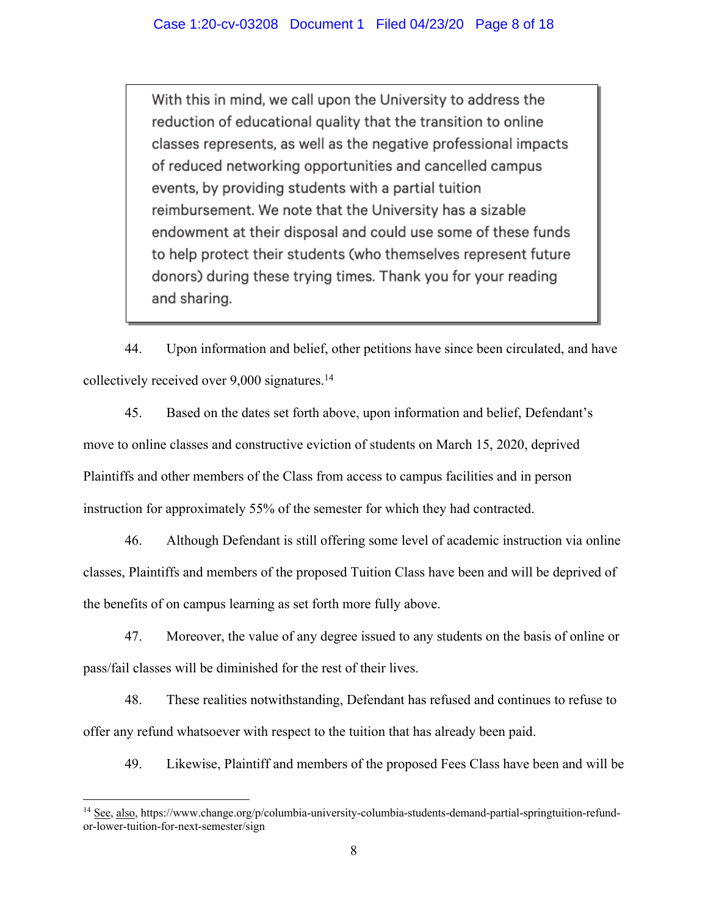With this in mind, we call upon the University to address the reduction of educational quality that the transition to online classes represents, as well as the negative professional impacts of reduced networking opportunities and cancelled campus events, by providing students with a partial tuition reimbursement. We note that the University has a sizable endowment at their disposal and could use some of these funds to help protect their students (who themselves represent future donors) during these trying times. Thank you for your reading and sharing.

44. Upon information and belief, other petitions have since been circulated, and have collectively received over 9,000 signatures.14

45. Based on the dates set forth above, upon information and belief, Defendant's move to online classes and constructive eviction of students on March 15, 2020, deprived Plaintiffs and other members of the Class from access to campus facilities and in person instruction for approximately 55% of the semester for which they had contracted.

46. Although Defendant is still offering some level of academic instruction via online classes, Plaintiffs and members of the proposed Tuition Class have been and will be deprived of the benefits of on campus learning as set forth more fully above.

47. Moreover, the value of any degree issued to any students on the basis of online or pass/fail classes will be diminished for the rest of their lives.

48. These realities notwithstanding, Defendant has refused and continues to refuse to offer any refund whatsoever with respect to the tuition that has already been paid.

49. Likewise, Plaintiff and members of the proposed Fees Class have been and will be

<sup>&</sup>lt;sup>14</sup> See, also, https://www.change.org/p/columbia-university-columbia-students-demand-partial-springtuition-refundor-lower-tuition-for-next-semester/sign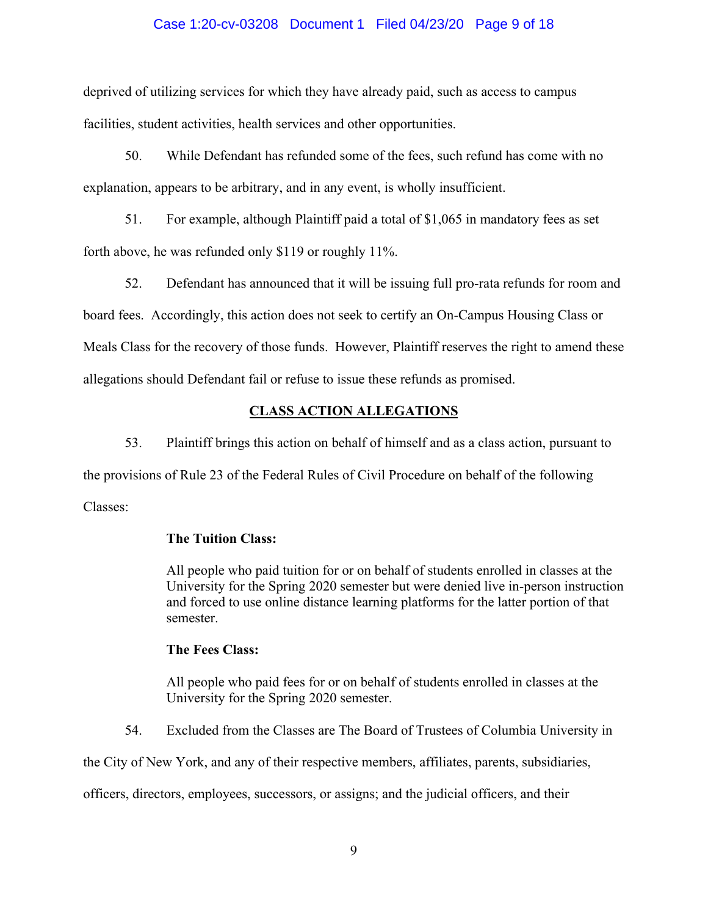### Case 1:20-cv-03208 Document 1 Filed 04/23/20 Page 9 of 18

deprived of utilizing services for which they have already paid, such as access to campus facilities, student activities, health services and other opportunities.

50. While Defendant has refunded some of the fees, such refund has come with no explanation, appears to be arbitrary, and in any event, is wholly insufficient.

51. For example, although Plaintiff paid a total of \$1,065 in mandatory fees as set forth above, he was refunded only \$119 or roughly 11%.

52. Defendant has announced that it will be issuing full pro-rata refunds for room and board fees. Accordingly, this action does not seek to certify an On-Campus Housing Class or Meals Class for the recovery of those funds. However, Plaintiff reserves the right to amend these allegations should Defendant fail or refuse to issue these refunds as promised.

### **CLASS ACTION ALLEGATIONS**

53. Plaintiff brings this action on behalf of himself and as a class action, pursuant to the provisions of Rule 23 of the Federal Rules of Civil Procedure on behalf of the following Classes:

## **The Tuition Class:**

All people who paid tuition for or on behalf of students enrolled in classes at the University for the Spring 2020 semester but were denied live in-person instruction and forced to use online distance learning platforms for the latter portion of that semester.

### **The Fees Class:**

All people who paid fees for or on behalf of students enrolled in classes at the University for the Spring 2020 semester.

54. Excluded from the Classes are The Board of Trustees of Columbia University in

the City of New York, and any of their respective members, affiliates, parents, subsidiaries,

officers, directors, employees, successors, or assigns; and the judicial officers, and their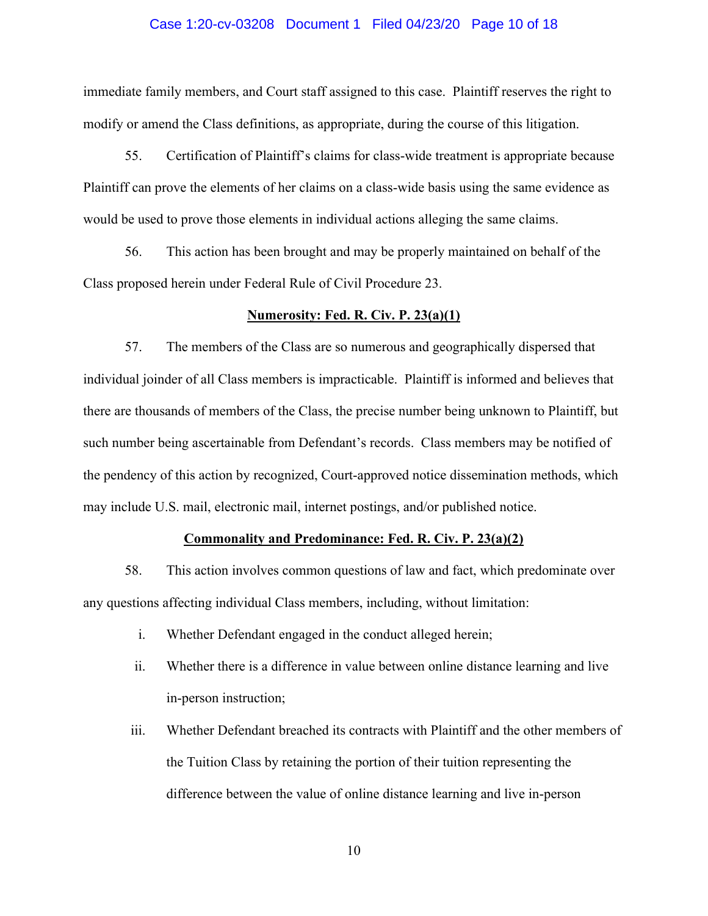#### Case 1:20-cv-03208 Document 1 Filed 04/23/20 Page 10 of 18

immediate family members, and Court staff assigned to this case. Plaintiff reserves the right to modify or amend the Class definitions, as appropriate, during the course of this litigation.

55. Certification of Plaintiff's claims for class-wide treatment is appropriate because Plaintiff can prove the elements of her claims on a class-wide basis using the same evidence as would be used to prove those elements in individual actions alleging the same claims.

56. This action has been brought and may be properly maintained on behalf of the Class proposed herein under Federal Rule of Civil Procedure 23.

### **Numerosity: Fed. R. Civ. P. 23(a)(1)**

57. The members of the Class are so numerous and geographically dispersed that individual joinder of all Class members is impracticable. Plaintiff is informed and believes that there are thousands of members of the Class, the precise number being unknown to Plaintiff, but such number being ascertainable from Defendant's records. Class members may be notified of the pendency of this action by recognized, Court-approved notice dissemination methods, which may include U.S. mail, electronic mail, internet postings, and/or published notice.

# **Commonality and Predominance: Fed. R. Civ. P. 23(a)(2)**

58. This action involves common questions of law and fact, which predominate over any questions affecting individual Class members, including, without limitation:

- i. Whether Defendant engaged in the conduct alleged herein;
- ii. Whether there is a difference in value between online distance learning and live in-person instruction;
- iii. Whether Defendant breached its contracts with Plaintiff and the other members of the Tuition Class by retaining the portion of their tuition representing the difference between the value of online distance learning and live in-person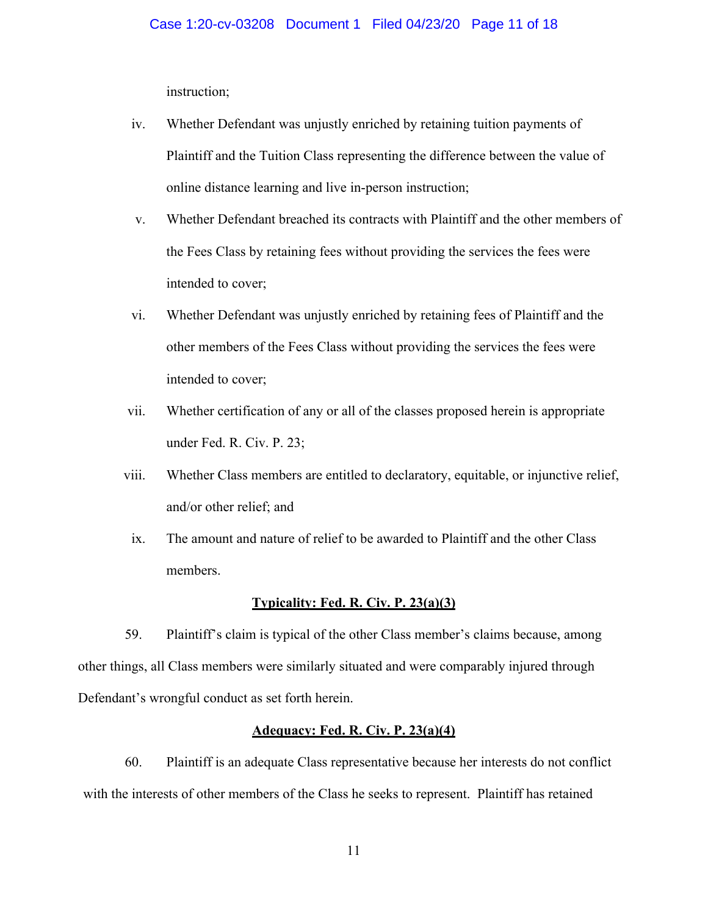instruction;

- iv. Whether Defendant was unjustly enriched by retaining tuition payments of Plaintiff and the Tuition Class representing the difference between the value of online distance learning and live in-person instruction;
- v. Whether Defendant breached its contracts with Plaintiff and the other members of the Fees Class by retaining fees without providing the services the fees were intended to cover;
- vi. Whether Defendant was unjustly enriched by retaining fees of Plaintiff and the other members of the Fees Class without providing the services the fees were intended to cover;
- vii. Whether certification of any or all of the classes proposed herein is appropriate under Fed. R. Civ. P. 23;
- viii. Whether Class members are entitled to declaratory, equitable, or injunctive relief, and/or other relief; and
	- ix. The amount and nature of relief to be awarded to Plaintiff and the other Class members.

### **Typicality: Fed. R. Civ. P. 23(a)(3)**

59. Plaintiff's claim is typical of the other Class member's claims because, among other things, all Class members were similarly situated and were comparably injured through Defendant's wrongful conduct as set forth herein.

### **Adequacy: Fed. R. Civ. P. 23(a)(4)**

60. Plaintiff is an adequate Class representative because her interests do not conflict with the interests of other members of the Class he seeks to represent. Plaintiff has retained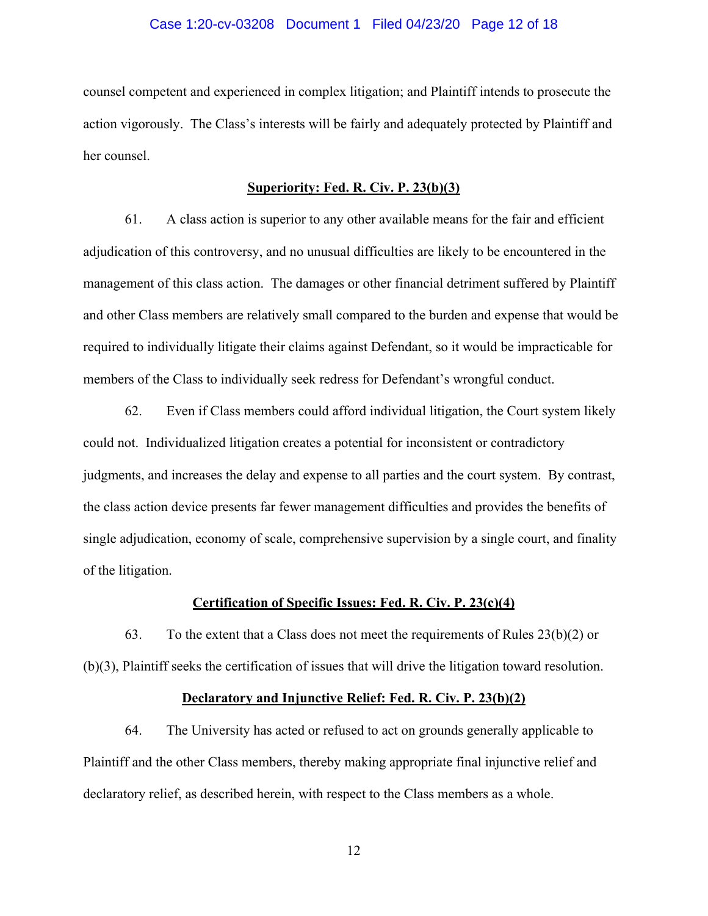#### Case 1:20-cv-03208 Document 1 Filed 04/23/20 Page 12 of 18

counsel competent and experienced in complex litigation; and Plaintiff intends to prosecute the action vigorously. The Class's interests will be fairly and adequately protected by Plaintiff and her counsel.

#### **Superiority: Fed. R. Civ. P. 23(b)(3)**

61. A class action is superior to any other available means for the fair and efficient adjudication of this controversy, and no unusual difficulties are likely to be encountered in the management of this class action. The damages or other financial detriment suffered by Plaintiff and other Class members are relatively small compared to the burden and expense that would be required to individually litigate their claims against Defendant, so it would be impracticable for members of the Class to individually seek redress for Defendant's wrongful conduct.

62. Even if Class members could afford individual litigation, the Court system likely could not. Individualized litigation creates a potential for inconsistent or contradictory judgments, and increases the delay and expense to all parties and the court system. By contrast, the class action device presents far fewer management difficulties and provides the benefits of single adjudication, economy of scale, comprehensive supervision by a single court, and finality of the litigation.

#### **Certification of Specific Issues: Fed. R. Civ. P. 23(c)(4)**

63. To the extent that a Class does not meet the requirements of Rules  $23(b)(2)$  or (b)(3), Plaintiff seeks the certification of issues that will drive the litigation toward resolution.

#### **Declaratory and Injunctive Relief: Fed. R. Civ. P. 23(b)(2)**

64. The University has acted or refused to act on grounds generally applicable to Plaintiff and the other Class members, thereby making appropriate final injunctive relief and declaratory relief, as described herein, with respect to the Class members as a whole.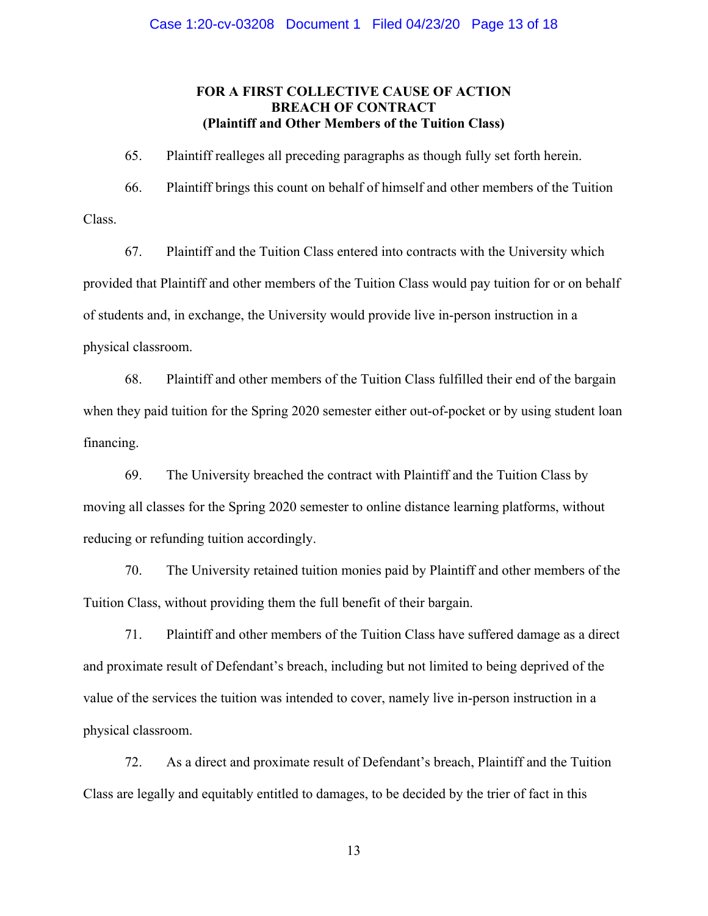## **FOR A FIRST COLLECTIVE CAUSE OF ACTION BREACH OF CONTRACT (Plaintiff and Other Members of the Tuition Class)**

65. Plaintiff realleges all preceding paragraphs as though fully set forth herein.

66. Plaintiff brings this count on behalf of himself and other members of the Tuition Class.

67. Plaintiff and the Tuition Class entered into contracts with the University which provided that Plaintiff and other members of the Tuition Class would pay tuition for or on behalf of students and, in exchange, the University would provide live in-person instruction in a physical classroom.

68. Plaintiff and other members of the Tuition Class fulfilled their end of the bargain when they paid tuition for the Spring 2020 semester either out-of-pocket or by using student loan financing.

69. The University breached the contract with Plaintiff and the Tuition Class by moving all classes for the Spring 2020 semester to online distance learning platforms, without reducing or refunding tuition accordingly.

70. The University retained tuition monies paid by Plaintiff and other members of the Tuition Class, without providing them the full benefit of their bargain.

71. Plaintiff and other members of the Tuition Class have suffered damage as a direct and proximate result of Defendant's breach, including but not limited to being deprived of the value of the services the tuition was intended to cover, namely live in-person instruction in a physical classroom.

72. As a direct and proximate result of Defendant's breach, Plaintiff and the Tuition Class are legally and equitably entitled to damages, to be decided by the trier of fact in this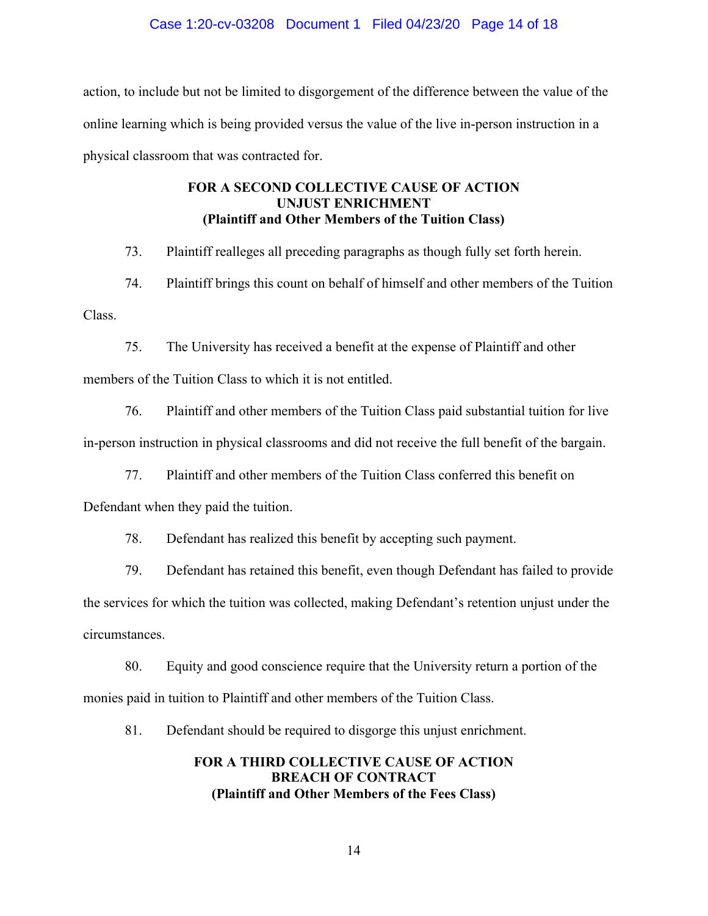# Case 1:20-cv-03208 Document 1 Filed 04/23/20 Page 14 of 18

action, to include but not be limited to disgorgement of the difference between the value of the online learning which is being provided versus the value of the live in-person instruction in a physical classroom that was contracted for.

# **FOR A SECOND COLLECTIVE CAUSE OF ACTION UNJUST ENRICHMENT (Plaintiff and Other Members of the Tuition Class)**

73. Plaintiff realleges all preceding paragraphs as though fully set forth herein.

74. Plaintiff brings this count on behalf of himself and other members of the Tuition Class.

75. The University has received a benefit at the expense of Plaintiff and other members of the Tuition Class to which it is not entitled.

76. Plaintiff and other members of the Tuition Class paid substantial tuition for live in-person instruction in physical classrooms and did not receive the full benefit of the bargain.

77. Plaintiff and other members of the Tuition Class conferred this benefit on

Defendant when they paid the tuition.

78. Defendant has realized this benefit by accepting such payment.

79. Defendant has retained this benefit, even though Defendant has failed to provide the services for which the tuition was collected, making Defendant's retention unjust under the circumstances.

80. Equity and good conscience require that the University return a portion of the monies paid in tuition to Plaintiff and other members of the Tuition Class.

81. Defendant should be required to disgorge this unjust enrichment.

## **FOR A THIRD COLLECTIVE CAUSE OF ACTION BREACH OF CONTRACT (Plaintiff and Other Members of the Fees Class)**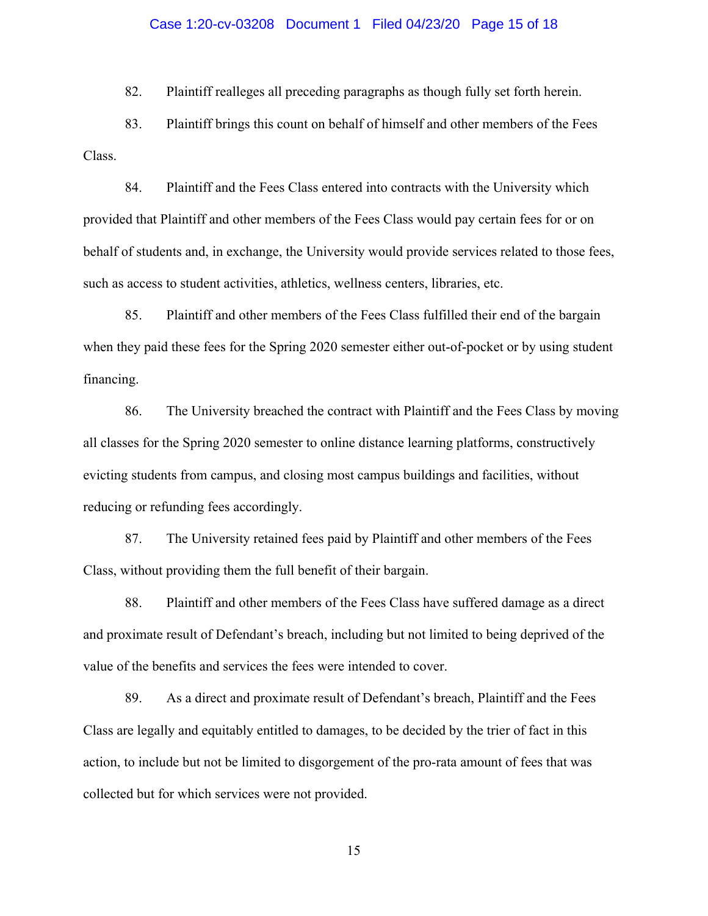#### Case 1:20-cv-03208 Document 1 Filed 04/23/20 Page 15 of 18

82. Plaintiff realleges all preceding paragraphs as though fully set forth herein.

83. Plaintiff brings this count on behalf of himself and other members of the Fees Class.

84. Plaintiff and the Fees Class entered into contracts with the University which provided that Plaintiff and other members of the Fees Class would pay certain fees for or on behalf of students and, in exchange, the University would provide services related to those fees, such as access to student activities, athletics, wellness centers, libraries, etc.

85. Plaintiff and other members of the Fees Class fulfilled their end of the bargain when they paid these fees for the Spring 2020 semester either out-of-pocket or by using student financing.

86. The University breached the contract with Plaintiff and the Fees Class by moving all classes for the Spring 2020 semester to online distance learning platforms, constructively evicting students from campus, and closing most campus buildings and facilities, without reducing or refunding fees accordingly.

87. The University retained fees paid by Plaintiff and other members of the Fees Class, without providing them the full benefit of their bargain.

88. Plaintiff and other members of the Fees Class have suffered damage as a direct and proximate result of Defendant's breach, including but not limited to being deprived of the value of the benefits and services the fees were intended to cover.

89. As a direct and proximate result of Defendant's breach, Plaintiff and the Fees Class are legally and equitably entitled to damages, to be decided by the trier of fact in this action, to include but not be limited to disgorgement of the pro-rata amount of fees that was collected but for which services were not provided.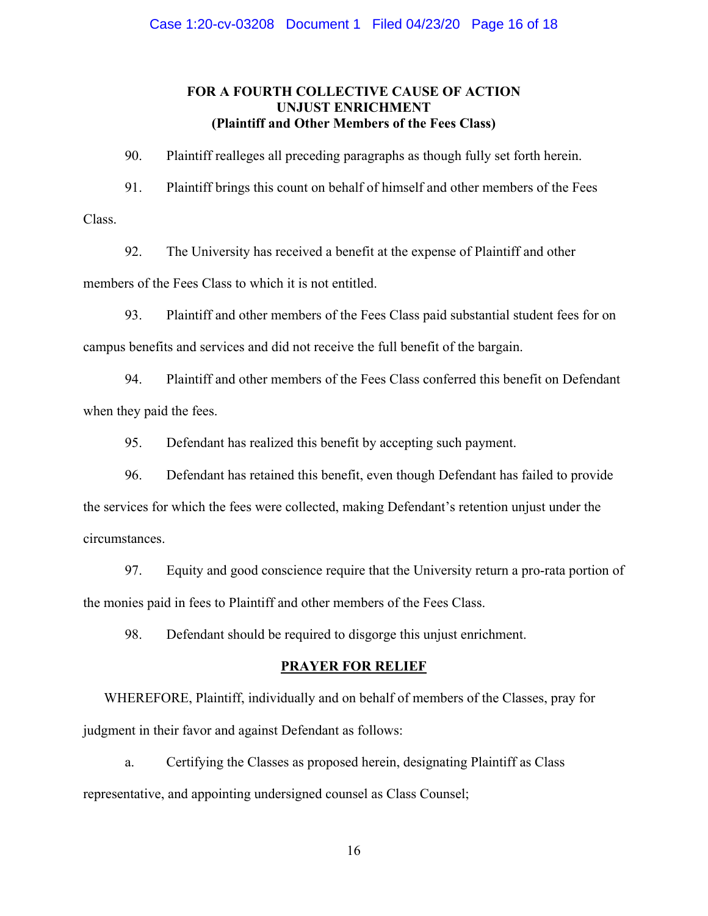## **FOR A FOURTH COLLECTIVE CAUSE OF ACTION UNJUST ENRICHMENT (Plaintiff and Other Members of the Fees Class)**

90. Plaintiff realleges all preceding paragraphs as though fully set forth herein.

91. Plaintiff brings this count on behalf of himself and other members of the Fees Class.

92. The University has received a benefit at the expense of Plaintiff and other members of the Fees Class to which it is not entitled.

93. Plaintiff and other members of the Fees Class paid substantial student fees for on campus benefits and services and did not receive the full benefit of the bargain.

94. Plaintiff and other members of the Fees Class conferred this benefit on Defendant when they paid the fees.

95. Defendant has realized this benefit by accepting such payment.

96. Defendant has retained this benefit, even though Defendant has failed to provide the services for which the fees were collected, making Defendant's retention unjust under the circumstances.

97. Equity and good conscience require that the University return a pro-rata portion of the monies paid in fees to Plaintiff and other members of the Fees Class.

98. Defendant should be required to disgorge this unjust enrichment.

#### **PRAYER FOR RELIEF**

WHEREFORE, Plaintiff, individually and on behalf of members of the Classes, pray for judgment in their favor and against Defendant as follows:

a. Certifying the Classes as proposed herein, designating Plaintiff as Class representative, and appointing undersigned counsel as Class Counsel;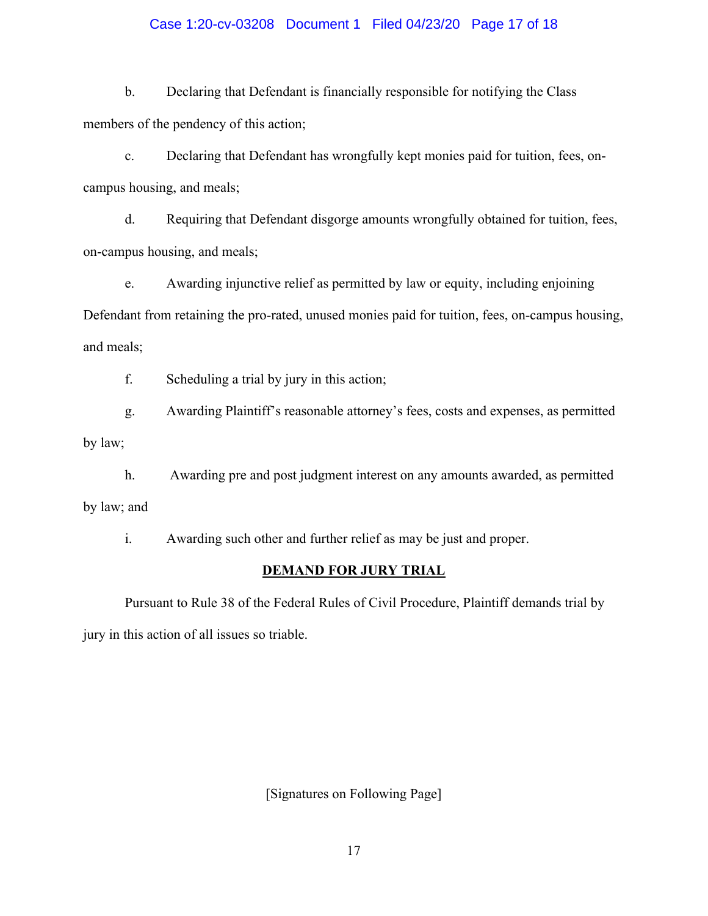## Case 1:20-cv-03208 Document 1 Filed 04/23/20 Page 17 of 18

b. Declaring that Defendant is financially responsible for notifying the Class members of the pendency of this action;

c. Declaring that Defendant has wrongfully kept monies paid for tuition, fees, oncampus housing, and meals;

d. Requiring that Defendant disgorge amounts wrongfully obtained for tuition, fees, on-campus housing, and meals;

e. Awarding injunctive relief as permitted by law or equity, including enjoining Defendant from retaining the pro-rated, unused monies paid for tuition, fees, on-campus housing, and meals;

f. Scheduling a trial by jury in this action;

g. Awarding Plaintiff's reasonable attorney's fees, costs and expenses, as permitted

by law;

h. Awarding pre and post judgment interest on any amounts awarded, as permitted by law; and

i. Awarding such other and further relief as may be just and proper.

### **DEMAND FOR JURY TRIAL**

Pursuant to Rule 38 of the Federal Rules of Civil Procedure, Plaintiff demands trial by jury in this action of all issues so triable.

[Signatures on Following Page]